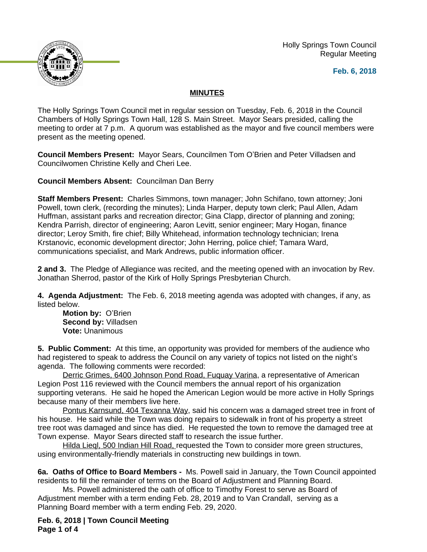Holly Springs Town Council Regular Meeting





## **MINUTES**

The Holly Springs Town Council met in regular session on Tuesday, Feb. 6, 2018 in the Council Chambers of Holly Springs Town Hall, 128 S. Main Street. Mayor Sears presided, calling the meeting to order at 7 p.m. A quorum was established as the mayor and five council members were present as the meeting opened.

**Council Members Present:** Mayor Sears, Councilmen Tom O'Brien and Peter Villadsen and Councilwomen Christine Kelly and Cheri Lee.

**Council Members Absent:** Councilman Dan Berry

**Staff Members Present:** Charles Simmons, town manager; John Schifano, town attorney; Joni Powell, town clerk, (recording the minutes); Linda Harper, deputy town clerk; Paul Allen, Adam Huffman, assistant parks and recreation director; Gina Clapp, director of planning and zoning; Kendra Parrish, director of engineering; Aaron Levitt, senior engineer; Mary Hogan, finance director; Leroy Smith, fire chief; Billy Whitehead, information technology technician; Irena Krstanovic, economic development director; John Herring, police chief; Tamara Ward, communications specialist, and Mark Andrews, public information officer.

**2 and 3.** The Pledge of Allegiance was recited, and the meeting opened with an invocation by Rev. Jonathan Sherrod, pastor of the Kirk of Holly Springs Presbyterian Church.

**4. Agenda Adjustment:** The Feb. 6, 2018 meeting agenda was adopted with changes, if any, as listed below.

**Motion by:** O'Brien **Second by:** Villadsen **Vote:** Unanimous

**5. Public Comment:** At this time, an opportunity was provided for members of the audience who had registered to speak to address the Council on any variety of topics not listed on the night's agenda. The following comments were recorded:

Derric Grimes, 6400 Johnson Pond Road, Fuquay Varina, a representative of American Legion Post 116 reviewed with the Council members the annual report of his organization supporting veterans. He said he hoped the American Legion would be more active in Holly Springs because many of their members live here.

Pontus Karnsund, 404 Texanna Way, said his concern was a damaged street tree in front of his house. He said while the Town was doing repairs to sidewalk in front of his property a street tree root was damaged and since has died. He requested the town to remove the damaged tree at Town expense. Mayor Sears directed staff to research the issue further.

Hilda Lieql, 500 Indian Hill Road, requested the Town to consider more green structures, using environmentally-friendly materials in constructing new buildings in town.

**6a. Oaths of Office to Board Members -** Ms. Powell said in January, the Town Council appointed residents to fill the remainder of terms on the Board of Adjustment and Planning Board.

Ms. Powell administered the oath of office to Timothy Forest to serve as Board of Adjustment member with a term ending Feb. 28, 2019 and to Van Crandall, serving as a Planning Board member with a term ending Feb. 29, 2020.

**Feb. 6, 2018 | Town Council Meeting Page 1 of 4**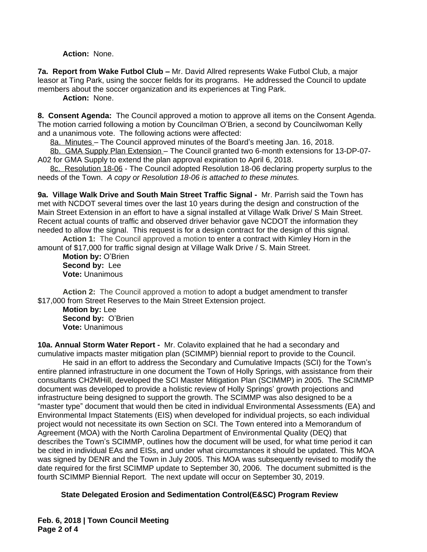**Action:** None.

**7a. Report from Wake Futbol Club –** Mr. David Allred represents Wake Futbol Club, a major leasor at Ting Park, using the soccer fields for its programs. He addressed the Council to update members about the soccer organization and its experiences at Ting Park.

**Action:** None.

**8. Consent Agenda:** The Council approved a motion to approve all items on the Consent Agenda. The motion carried following a motion by Councilman O'Brien, a second by Councilwoman Kelly and a unanimous vote. The following actions were affected:

8a. Minutes – The Council approved minutes of the Board's meeting Jan. 16, 2018.

8b. GMA Supply Plan Extension – The Council granted two 6-month extensions for 13-DP-07- A02 for GMA Supply to extend the plan approval expiration to April 6, 2018.

8c. Resolution 18-06 - The Council adopted Resolution 18-06 declaring property surplus to the needs of the Town.*A copy or Resolution 18-06 is attached to these minutes.*

**9a. Village Walk Drive and South Main Street Traffic Signal -** Mr. Parrish said the Town has met with NCDOT several times over the last 10 years during the design and construction of the Main Street Extension in an effort to have a signal installed at Village Walk Drive/ S Main Street. Recent actual counts of traffic and observed driver behavior gave NCDOT the information they needed to allow the signal. This request is for a design contract for the design of this signal. **Action 1:** The Council approved a motion to enter a contract with Kimley Horn in the

amount of \$17,000 for traffic signal design at Village Walk Drive / S. Main Street.

**Motion by:** O'Brien **Second by:** Lee **Vote:** Unanimous

**Action 2:** The Council approved a motion to adopt a budget amendment to transfer \$17,000 from Street Reserves to the Main Street Extension project.

**Motion by:** Lee **Second by:** O'Brien **Vote:** Unanimous

**10a. Annual Storm Water Report -** Mr. Colavito explained that he had a secondary and cumulative impacts master mitigation plan (SCIMMP) biennial report to provide to the Council.

He said in an effort to address the Secondary and Cumulative Impacts (SCI) for the Town's entire planned infrastructure in one document the Town of Holly Springs, with assistance from their consultants CH2MHill, developed the SCI Master Mitigation Plan (SCIMMP) in 2005. The SCIMMP document was developed to provide a holistic review of Holly Springs' growth projections and infrastructure being designed to support the growth. The SCIMMP was also designed to be a "master type" document that would then be cited in individual Environmental Assessments (EA) and Environmental Impact Statements (EIS) when developed for individual projects, so each individual project would not necessitate its own Section on SCI. The Town entered into a Memorandum of Agreement (MOA) with the North Carolina Department of Environmental Quality (DEQ) that describes the Town's SCIMMP, outlines how the document will be used, for what time period it can be cited in individual EAs and EISs, and under what circumstances it should be updated. This MOA was signed by DENR and the Town in July 2005. This MOA was subsequently revised to modify the date required for the first SCIMMP update to September 30, 2006. The document submitted is the fourth SCIMMP Biennial Report. The next update will occur on September 30, 2019.

## **State Delegated Erosion and Sedimentation Control(E&SC) Program Review**

**Feb. 6, 2018 | Town Council Meeting Page 2 of 4**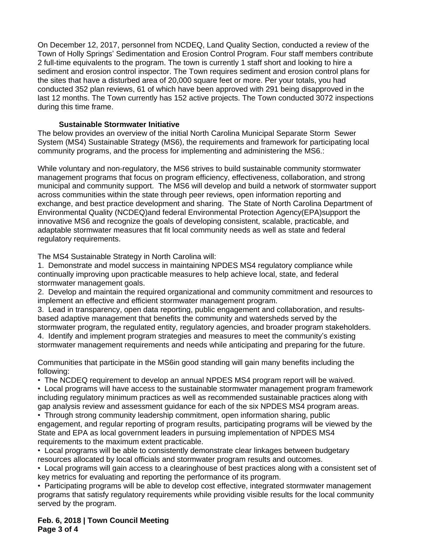On December 12, 2017, personnel from NCDEQ, Land Quality Section, conducted a review of the Town of Holly Springs' Sedimentation and Erosion Control Program. Four staff members contribute 2 full-time equivalents to the program. The town is currently 1 staff short and looking to hire a sediment and erosion control inspector. The Town requires sediment and erosion control plans for the sites that have a disturbed area of 20,000 square feet or more. Per your totals, you had conducted 352 plan reviews, 61 of which have been approved with 291 being disapproved in the last 12 months. The Town currently has 152 active projects. The Town conducted 3072 inspections during this time frame.

## **Sustainable Stormwater Initiative**

The below provides an overview of the initial North Carolina Municipal Separate Storm Sewer System (MS4) Sustainable Strategy (MS6), the requirements and framework for participating local community programs, and the process for implementing and administering the MS6.:

While voluntary and non-regulatory, the MS6 strives to build sustainable community stormwater management programs that focus on program efficiency, effectiveness, collaboration, and strong municipal and community support. The MS6 will develop and build a network of stormwater support across communities within the state through peer reviews, open information reporting and exchange, and best practice development and sharing. The State of North Carolina Department of Environmental Quality (NCDEQ)and federal Environmental Protection Agency(EPA)support the innovative MS6 and recognize the goals of developing consistent, scalable, practicable, and adaptable stormwater measures that fit local community needs as well as state and federal regulatory requirements.

The MS4 Sustainable Strategy in North Carolina will:

1. Demonstrate and model success in maintaining NPDES MS4 regulatory compliance while continually improving upon practicable measures to help achieve local, state, and federal stormwater management goals.

2. Develop and maintain the required organizational and community commitment and resources to implement an effective and efficient stormwater management program.

3. Lead in transparency, open data reporting, public engagement and collaboration, and resultsbased adaptive management that benefits the community and watersheds served by the stormwater program, the regulated entity, regulatory agencies, and broader program stakeholders.

4. Identify and implement program strategies and measures to meet the community's existing stormwater management requirements and needs while anticipating and preparing for the future.

Communities that participate in the MS6in good standing will gain many benefits including the following:

• The NCDEQ requirement to develop an annual NPDES MS4 program report will be waived.

• Local programs will have access to the sustainable stormwater management program framework including regulatory minimum practices as well as recommended sustainable practices along with gap analysis review and assessment guidance for each of the six NPDES MS4 program areas.

• Through strong community leadership commitment, open information sharing, public engagement, and regular reporting of program results, participating programs will be viewed by the State and EPA as local government leaders in pursuing implementation of NPDES MS4 requirements to the maximum extent practicable.

• Local programs will be able to consistently demonstrate clear linkages between budgetary resources allocated by local officials and stormwater program results and outcomes.

• Local programs will gain access to a clearinghouse of best practices along with a consistent set of key metrics for evaluating and reporting the performance of its program.

• Participating programs will be able to develop cost effective, integrated stormwater management programs that satisfy regulatory requirements while providing visible results for the local community served by the program.

**Feb. 6, 2018 | Town Council Meeting Page 3 of 4**